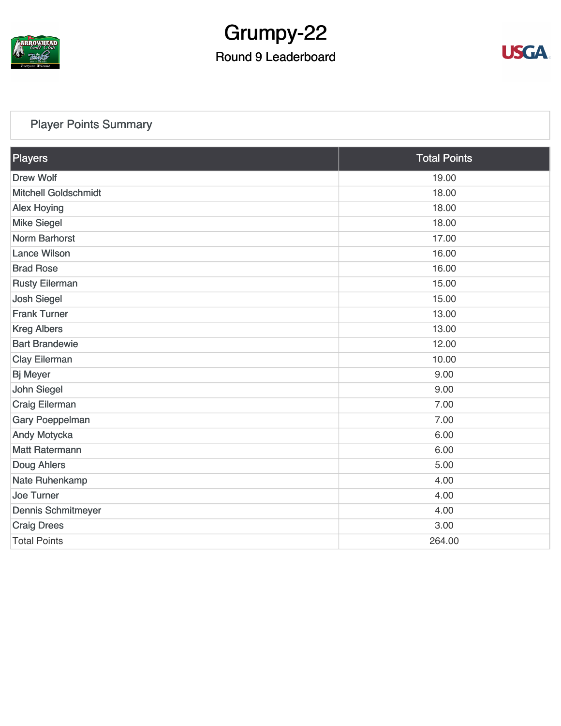

# Grumpy-22

## Round 9 Leaderboard



## [Player Points Summary](https://static.golfgenius.com/v2tournaments/total_points?league_id=8123139340541895924&round_id=8123140183664108920)

| Players                     | <b>Total Points</b> |  |
|-----------------------------|---------------------|--|
| <b>Drew Wolf</b>            | 19.00               |  |
| <b>Mitchell Goldschmidt</b> | 18.00               |  |
| <b>Alex Hoying</b>          | 18.00               |  |
| <b>Mike Siegel</b>          | 18.00               |  |
| <b>Norm Barhorst</b>        | 17.00               |  |
| <b>Lance Wilson</b>         | 16.00               |  |
| <b>Brad Rose</b>            | 16.00               |  |
| <b>Rusty Eilerman</b>       | 15.00               |  |
| <b>Josh Siegel</b>          | 15.00               |  |
| <b>Frank Turner</b>         | 13.00               |  |
| <b>Kreg Albers</b>          | 13.00               |  |
| <b>Bart Brandewie</b>       | 12.00               |  |
| <b>Clay Eilerman</b>        | 10.00               |  |
| <b>Bj Meyer</b>             | 9.00                |  |
| <b>John Siegel</b>          | 9.00                |  |
| Craig Eilerman              | 7.00                |  |
| <b>Gary Poeppelman</b>      | 7.00                |  |
| Andy Motycka                | 6.00                |  |
| <b>Matt Ratermann</b>       | 6.00                |  |
| Doug Ahlers                 | 5.00                |  |
| Nate Ruhenkamp              | 4.00                |  |
| <b>Joe Turner</b>           | 4.00                |  |
| <b>Dennis Schmitmeyer</b>   | 4.00                |  |
| <b>Craig Drees</b>          | 3.00                |  |
| <b>Total Points</b>         | 264.00              |  |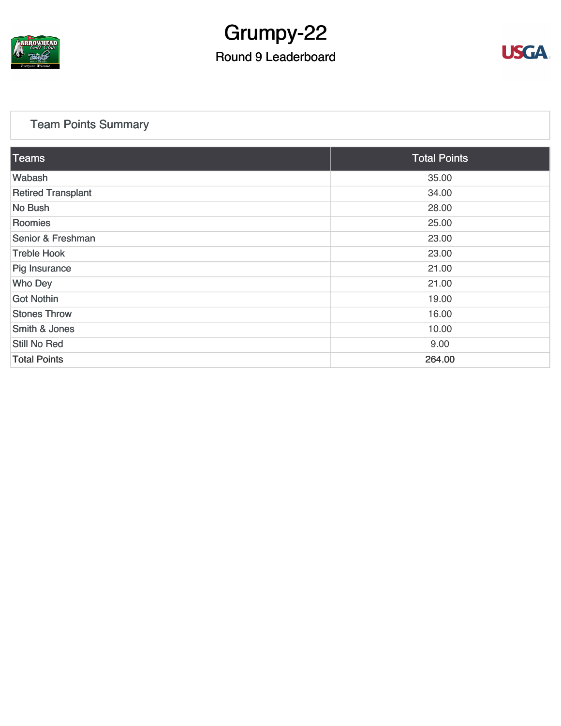

## Grumpy-22

## Round 9 Leaderboard



## [Team Points Summary](https://static.golfgenius.com/v2tournaments/team_points?league_id=8123139340541895924&round_id=8123140183664108920)

| <b>Teams</b>              | <b>Total Points</b> |  |
|---------------------------|---------------------|--|
| Wabash                    | 35.00               |  |
| <b>Retired Transplant</b> | 34.00               |  |
| No Bush                   | 28.00               |  |
| Roomies                   | 25.00               |  |
| Senior & Freshman         | 23.00               |  |
| <b>Treble Hook</b>        | 23.00               |  |
| Pig Insurance             | 21.00               |  |
| <b>Who Dey</b>            | 21.00               |  |
| <b>Got Nothin</b>         | 19.00               |  |
| <b>Stones Throw</b>       | 16.00               |  |
| <b>Smith &amp; Jones</b>  | 10.00               |  |
| Still No Red              | 9.00                |  |
| <b>Total Points</b>       | 264.00              |  |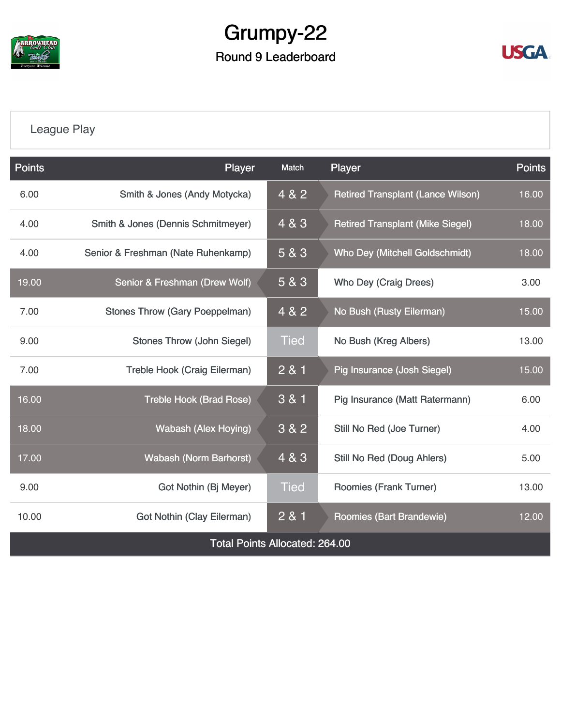

## Grumpy-22 Round 9 Leaderboard



## [League Play](https://static.golfgenius.com/v2tournaments/8123149445761082537?called_from=&round_index=9)

| <b>Points</b>                         | Player                                | Player<br>Match |                                          | <b>Points</b> |  |
|---------------------------------------|---------------------------------------|-----------------|------------------------------------------|---------------|--|
| 6.00                                  | Smith & Jones (Andy Motycka)          | 4 & 2           | <b>Retired Transplant (Lance Wilson)</b> | 16.00         |  |
| 4.00                                  | Smith & Jones (Dennis Schmitmeyer)    | 4 & 3           | <b>Retired Transplant (Mike Siegel)</b>  |               |  |
| 4.00                                  | Senior & Freshman (Nate Ruhenkamp)    | 5 & 3           | <b>Who Dey (Mitchell Goldschmidt)</b>    | 18.00         |  |
| 19.00                                 | Senior & Freshman (Drew Wolf)         | 5 & 3           | Who Dey (Craig Drees)                    | 3.00          |  |
| 7.00                                  | <b>Stones Throw (Gary Poeppelman)</b> | 4 & 2           | No Bush (Rusty Eilerman)                 | 15.00         |  |
| 9.00                                  | <b>Stones Throw (John Siegel)</b>     | <b>Tied</b>     | No Bush (Kreg Albers)                    |               |  |
| 7.00                                  | Treble Hook (Craig Eilerman)          | 2 & 1           | Pig Insurance (Josh Siegel)              | 15.00         |  |
| 16.00                                 | <b>Treble Hook (Brad Rose)</b>        | 3 & 1           | Pig Insurance (Matt Ratermann)           | 6.00          |  |
| 18.00                                 | <b>Wabash (Alex Hoying)</b>           | 3 & 2           | Still No Red (Joe Turner)                | 4.00          |  |
| 17.00                                 | <b>Wabash (Norm Barhorst)</b>         | 4 & 3           | Still No Red (Doug Ahlers)               | 5.00          |  |
| 9.00                                  | Got Nothin (Bj Meyer)                 | <b>Tied</b>     | Roomies (Frank Turner)                   | 13.00         |  |
| 10.00                                 | <b>Got Nothin (Clay Eilerman)</b>     | 2 & 1           | Roomies (Bart Brandewie)                 | 12.00         |  |
| <b>Total Points Allocated: 264.00</b> |                                       |                 |                                          |               |  |